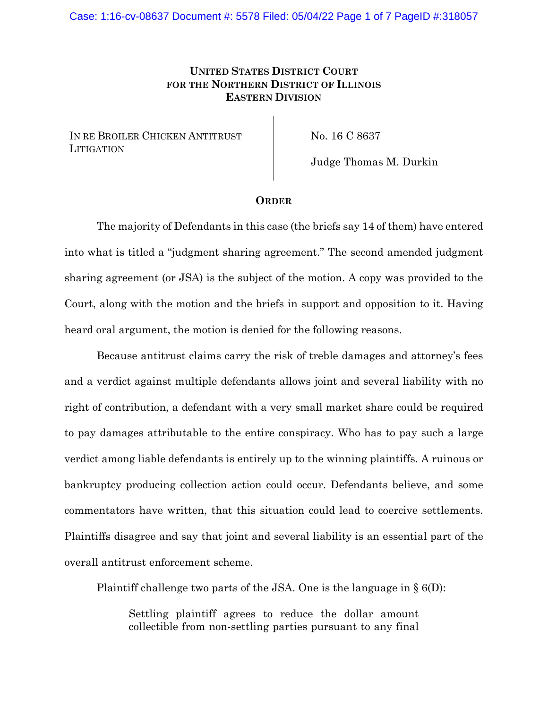## **UNITED STATES DISTRICT COURT FOR THE NORTHERN DISTRICT OF ILLINOIS EASTERN DIVISION**

IN RE BROILER CHICKEN ANTITRUST **LITIGATION** 

No. 16 C 8637

Judge Thomas M. Durkin

## **ORDER**

The majority of Defendants in this case (the briefs say 14 of them) have entered into what is titled a "judgment sharing agreement." The second amended judgment sharing agreement (or JSA) is the subject of the motion. A copy was provided to the Court, along with the motion and the briefs in support and opposition to it. Having heard oral argument, the motion is denied for the following reasons.

Because antitrust claims carry the risk of treble damages and attorney's fees and a verdict against multiple defendants allows joint and several liability with no right of contribution, a defendant with a very small market share could be required to pay damages attributable to the entire conspiracy. Who has to pay such a large verdict among liable defendants is entirely up to the winning plaintiffs. A ruinous or bankruptcy producing collection action could occur. Defendants believe, and some commentators have written, that this situation could lead to coercive settlements. Plaintiffs disagree and say that joint and several liability is an essential part of the overall antitrust enforcement scheme.

Plaintiff challenge two parts of the JSA. One is the language in  $\S$  6(D):

Settling plaintiff agrees to reduce the dollar amount collectible from non-settling parties pursuant to any final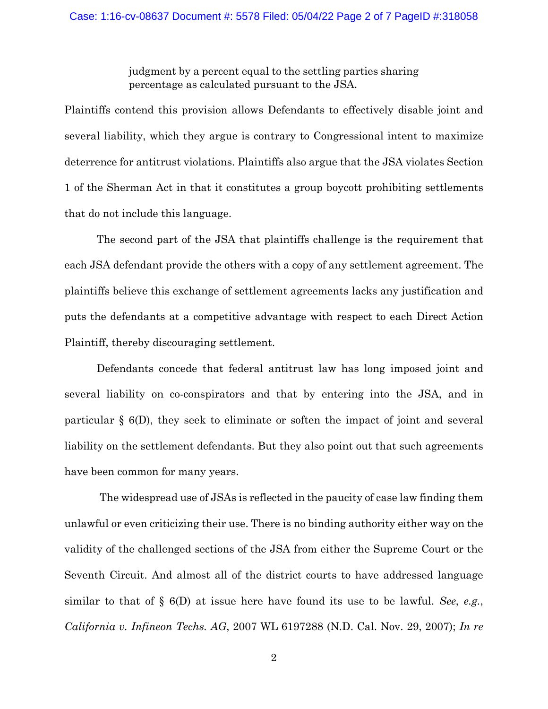judgment by a percent equal to the settling parties sharing percentage as calculated pursuant to the JSA.

Plaintiffs contend this provision allows Defendants to effectively disable joint and several liability, which they argue is contrary to Congressional intent to maximize deterrence for antitrust violations. Plaintiffs also argue that the JSA violates Section 1 of the Sherman Act in that it constitutes a group boycott prohibiting settlements that do not include this language.

The second part of the JSA that plaintiffs challenge is the requirement that each JSA defendant provide the others with a copy of any settlement agreement. The plaintiffs believe this exchange of settlement agreements lacks any justification and puts the defendants at a competitive advantage with respect to each Direct Action Plaintiff, thereby discouraging settlement.

Defendants concede that federal antitrust law has long imposed joint and several liability on co-conspirators and that by entering into the JSA, and in particular § 6(D), they seek to eliminate or soften the impact of joint and several liability on the settlement defendants. But they also point out that such agreements have been common for many years.

The widespread use of JSAs is reflected in the paucity of case law finding them unlawful or even criticizing their use. There is no binding authority either way on the validity of the challenged sections of the JSA from either the Supreme Court or the Seventh Circuit. And almost all of the district courts to have addressed language similar to that of § 6(D) at issue here have found its use to be lawful. *See*, *e.g.*, *California v. Infineon Techs. AG*, 2007 WL 6197288 (N.D. Cal. Nov. 29, 2007); *In re*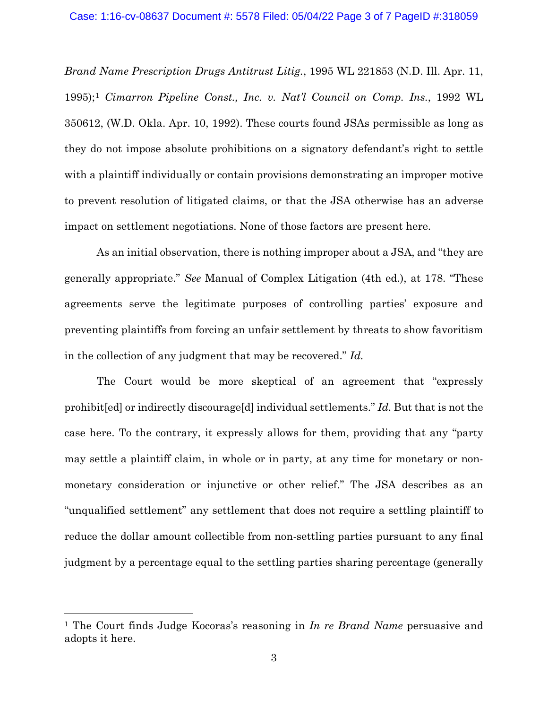*Brand Name Prescription Drugs Antitrust Litig.*, 1995 WL 221853 (N.D. Ill. Apr. 11, 1995);1 *Cimarron Pipeline Const., Inc. v. Nat'l Council on Comp. Ins.*, 1992 WL 350612, (W.D. Okla. Apr. 10, 1992). These courts found JSAs permissible as long as they do not impose absolute prohibitions on a signatory defendant's right to settle with a plaintiff individually or contain provisions demonstrating an improper motive to prevent resolution of litigated claims, or that the JSA otherwise has an adverse impact on settlement negotiations. None of those factors are present here.

As an initial observation, there is nothing improper about a JSA, and "they are generally appropriate." *See* Manual of Complex Litigation (4th ed.), at 178. "These agreements serve the legitimate purposes of controlling parties' exposure and preventing plaintiffs from forcing an unfair settlement by threats to show favoritism in the collection of any judgment that may be recovered." *Id.*

The Court would be more skeptical of an agreement that "expressly prohibit[ed] or indirectly discourage[d] individual settlements." *Id.* But that is not the case here. To the contrary, it expressly allows for them, providing that any "party may settle a plaintiff claim, in whole or in party, at any time for monetary or nonmonetary consideration or injunctive or other relief." The JSA describes as an "unqualified settlement" any settlement that does not require a settling plaintiff to reduce the dollar amount collectible from non-settling parties pursuant to any final judgment by a percentage equal to the settling parties sharing percentage (generally

<sup>1</sup> The Court finds Judge Kocoras's reasoning in *In re Brand Name* persuasive and adopts it here.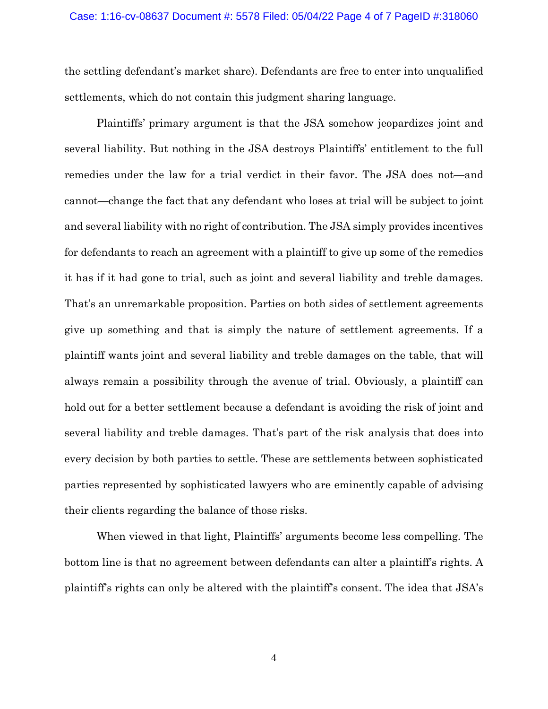the settling defendant's market share). Defendants are free to enter into unqualified settlements, which do not contain this judgment sharing language.

Plaintiffs' primary argument is that the JSA somehow jeopardizes joint and several liability. But nothing in the JSA destroys Plaintiffs' entitlement to the full remedies under the law for a trial verdict in their favor. The JSA does not—and cannot—change the fact that any defendant who loses at trial will be subject to joint and several liability with no right of contribution. The JSA simply provides incentives for defendants to reach an agreement with a plaintiff to give up some of the remedies it has if it had gone to trial, such as joint and several liability and treble damages. That's an unremarkable proposition. Parties on both sides of settlement agreements give up something and that is simply the nature of settlement agreements. If a plaintiff wants joint and several liability and treble damages on the table, that will always remain a possibility through the avenue of trial. Obviously, a plaintiff can hold out for a better settlement because a defendant is avoiding the risk of joint and several liability and treble damages. That's part of the risk analysis that does into every decision by both parties to settle. These are settlements between sophisticated parties represented by sophisticated lawyers who are eminently capable of advising their clients regarding the balance of those risks.

When viewed in that light, Plaintiffs' arguments become less compelling. The bottom line is that no agreement between defendants can alter a plaintiff's rights. A plaintiff's rights can only be altered with the plaintiff's consent. The idea that JSA's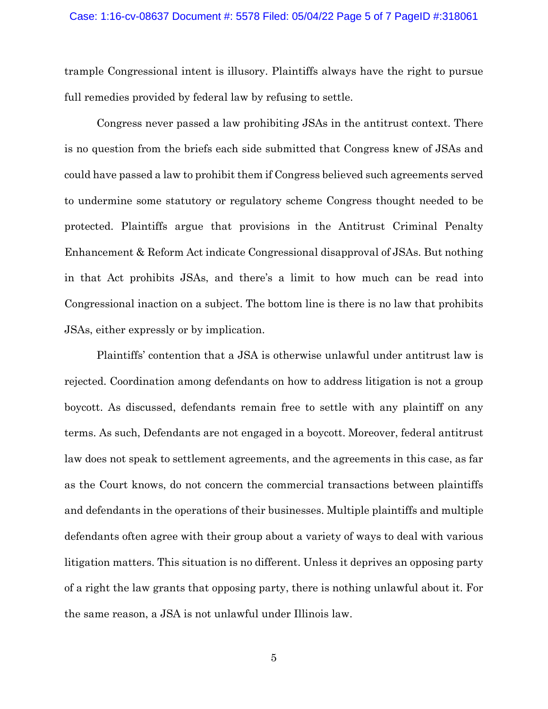trample Congressional intent is illusory. Plaintiffs always have the right to pursue full remedies provided by federal law by refusing to settle.

Congress never passed a law prohibiting JSAs in the antitrust context. There is no question from the briefs each side submitted that Congress knew of JSAs and could have passed a law to prohibit them if Congress believed such agreements served to undermine some statutory or regulatory scheme Congress thought needed to be protected. Plaintiffs argue that provisions in the Antitrust Criminal Penalty Enhancement & Reform Act indicate Congressional disapproval of JSAs. But nothing in that Act prohibits JSAs, and there's a limit to how much can be read into Congressional inaction on a subject. The bottom line is there is no law that prohibits JSAs, either expressly or by implication.

Plaintiffs' contention that a JSA is otherwise unlawful under antitrust law is rejected. Coordination among defendants on how to address litigation is not a group boycott. As discussed, defendants remain free to settle with any plaintiff on any terms. As such, Defendants are not engaged in a boycott. Moreover, federal antitrust law does not speak to settlement agreements, and the agreements in this case, as far as the Court knows, do not concern the commercial transactions between plaintiffs and defendants in the operations of their businesses. Multiple plaintiffs and multiple defendants often agree with their group about a variety of ways to deal with various litigation matters. This situation is no different. Unless it deprives an opposing party of a right the law grants that opposing party, there is nothing unlawful about it. For the same reason, a JSA is not unlawful under Illinois law.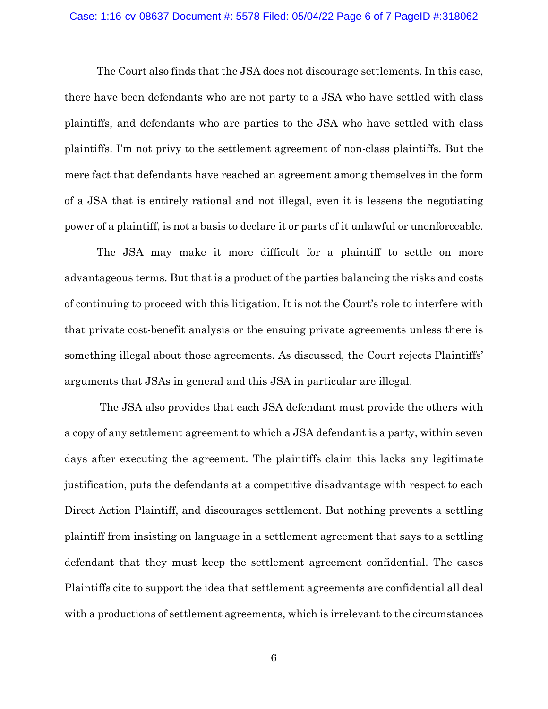## Case: 1:16-cv-08637 Document #: 5578 Filed: 05/04/22 Page 6 of 7 PageID #:318062

The Court also finds that the JSA does not discourage settlements. In this case, there have been defendants who are not party to a JSA who have settled with class plaintiffs, and defendants who are parties to the JSA who have settled with class plaintiffs. I'm not privy to the settlement agreement of non-class plaintiffs. But the mere fact that defendants have reached an agreement among themselves in the form of a JSA that is entirely rational and not illegal, even it is lessens the negotiating power of a plaintiff, is not a basis to declare it or parts of it unlawful or unenforceable.

The JSA may make it more difficult for a plaintiff to settle on more advantageous terms. But that is a product of the parties balancing the risks and costs of continuing to proceed with this litigation. It is not the Court's role to interfere with that private cost-benefit analysis or the ensuing private agreements unless there is something illegal about those agreements. As discussed, the Court rejects Plaintiffs' arguments that JSAs in general and this JSA in particular are illegal.

The JSA also provides that each JSA defendant must provide the others with a copy of any settlement agreement to which a JSA defendant is a party, within seven days after executing the agreement. The plaintiffs claim this lacks any legitimate justification, puts the defendants at a competitive disadvantage with respect to each Direct Action Plaintiff, and discourages settlement. But nothing prevents a settling plaintiff from insisting on language in a settlement agreement that says to a settling defendant that they must keep the settlement agreement confidential. The cases Plaintiffs cite to support the idea that settlement agreements are confidential all deal with a productions of settlement agreements, which is irrelevant to the circumstances